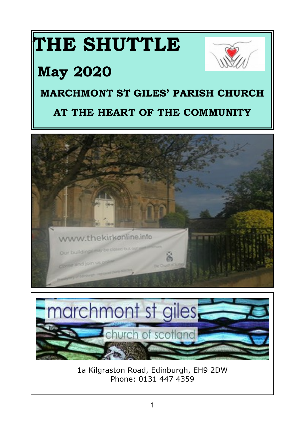# **THE SHUTTLE**

# **May 2020**

# **MARCHMONT ST GILES' PARISH CHURCH**

# **AT THE HEART OF THE COMMUNITY**





1a Kilgraston Road, Edinburgh, EH9 2DW Phone: 0131 447 4359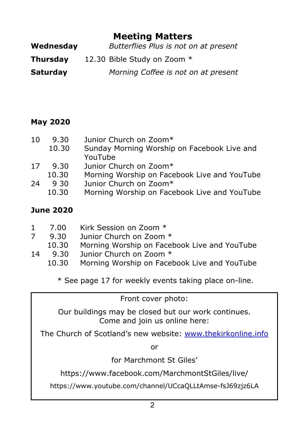# **Meeting Matters**

| Wednesday       | Butterflies Plus is not on at present |
|-----------------|---------------------------------------|
| Thursday        | 12.30 Bible Study on Zoom *           |
| <b>Saturday</b> | Morning Coffee is not on at present   |

#### **May 2020**

| 10 | 9.30  | Junior Church on Zoom*                       |
|----|-------|----------------------------------------------|
|    | 10.30 | Sunday Morning Worship on Facebook Live and  |
|    |       | YouTube                                      |
| 17 | 9.30  | Junior Church on Zoom*                       |
|    | 10.30 | Morning Worship on Facebook Live and YouTube |
| 24 | 9.30  | Junior Church on Zoom*                       |
|    | 10.30 | Morning Worship on Facebook Live and YouTube |
|    |       |                                              |

#### **June 2020**

| 7.00 | Kirk Session on Zoom * |  |
|------|------------------------|--|
|      |                        |  |

- 7 9.30 Junior Church on Zoom \*
- 10.30 Morning Worship on Facebook Live and YouTube
- 14 9.30 Junior Church on Zoom \*
	- 10.30 Morning Worship on Facebook Live and YouTube

\* See page 17 for weekly events taking place on-line.

Front cover photo:

Our buildings may be closed but our work continues. Come and join us online here:

The Church of Scotland's new website: <www.thekirkonline.info>

or

for Marchmont St Giles'

https://www.facebook.com/MarchmontStGiles/live/

https://www.youtube.com/channel/UCcaQLLtAmse-fsJ69zjz6LA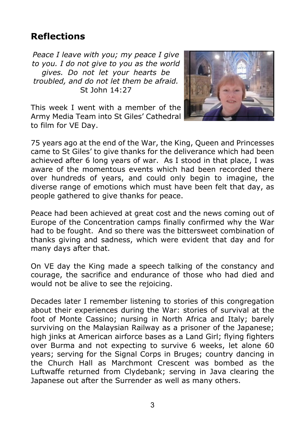# **Reflections**

*Peace I leave with you; my peace I give to you. I do not give to you as the world gives. Do not let your hearts be troubled, and do not let them be afraid.* St John 14:27



This week I went with a member of the Army Media Team into St Giles' Cathedral to film for VE Day.

75 years ago at the end of the War, the King, Queen and Princesses came to St Giles' to give thanks for the deliverance which had been achieved after 6 long years of war. As I stood in that place, I was aware of the momentous events which had been recorded there over hundreds of years, and could only begin to imagine, the diverse range of emotions which must have been felt that day, as people gathered to give thanks for peace.

Peace had been achieved at great cost and the news coming out of Europe of the Concentration camps finally confirmed why the War had to be fought. And so there was the bittersweet combination of thanks giving and sadness, which were evident that day and for many days after that.

On VE day the King made a speech talking of the constancy and courage, the sacrifice and endurance of those who had died and would not be alive to see the rejoicing.

Decades later I remember listening to stories of this congregation about their experiences during the War: stories of survival at the foot of Monte Cassino; nursing in North Africa and Italy; barely surviving on the Malaysian Railway as a prisoner of the Japanese; high jinks at American airforce bases as a Land Girl; flying fighters over Burma and not expecting to survive 6 weeks, let alone 60 years; serving for the Signal Corps in Bruges; country dancing in the Church Hall as Marchmont Crescent was bombed as the Luftwaffe returned from Clydebank; serving in Java clearing the Japanese out after the Surrender as well as many others.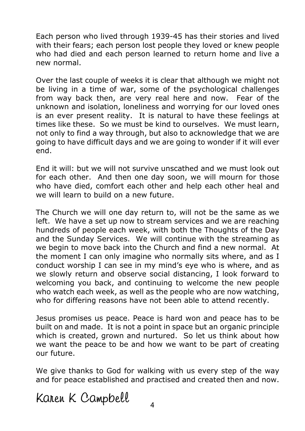Each person who lived through 1939-45 has their stories and lived with their fears; each person lost people they loved or knew people who had died and each person learned to return home and live a new normal.

Over the last couple of weeks it is clear that although we might not be living in a time of war, some of the psychological challenges from way back then, are very real here and now. Fear of the unknown and isolation, loneliness and worrying for our loved ones is an ever present reality. It is natural to have these feelings at times like these. So we must be kind to ourselves. We must learn, not only to find a way through, but also to acknowledge that we are going to have difficult days and we are going to wonder if it will ever end.

End it will: but we will not survive unscathed and we must look out for each other. And then one day soon, we will mourn for those who have died, comfort each other and help each other heal and we will learn to build on a new future.

The Church we will one day return to, will not be the same as we left. We have a set up now to stream services and we are reaching hundreds of people each week, with both the Thoughts of the Day and the Sunday Services. We will continue with the streaming as we begin to move back into the Church and find a new normal. At the moment I can only imagine who normally sits where, and as I conduct worship I can see in my mind's eye who is where, and as we slowly return and observe social distancing, I look forward to welcoming you back, and continuing to welcome the new people who watch each week, as well as the people who are now watching, who for differing reasons have not been able to attend recently.

Jesus promises us peace. Peace is hard won and peace has to be built on and made. It is not a point in space but an organic principle which is created, grown and nurtured. So let us think about how we want the peace to be and how we want to be part of creating our future.

We give thanks to God for walking with us every step of the way and for peace established and practised and created then and now.

Karen K Campbell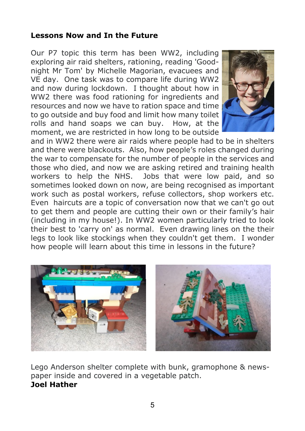#### **Lessons Now and In the Future**

Our P7 topic this term has been WW2, including exploring air raid shelters, rationing, reading 'Goodnight Mr Tom' by Michelle Magorian, evacuees and VE day. One task was to compare life during WW2 and now during lockdown. I thought about how in WW2 there was food rationing for ingredients and resources and now we have to ration space and time to go outside and buy food and limit how many toilet rolls and hand soaps we can buy. How, at the moment, we are restricted in how long to be outside



and in WW2 there were air raids where people had to be in shelters and there were blackouts. Also, how people's roles changed during the war to compensate for the number of people in the services and those who died, and now we are asking retired and training health workers to help the NHS. Jobs that were low paid, and so sometimes looked down on now, are being recognised as important work such as postal workers, refuse collectors, shop workers etc. Even haircuts are a topic of conversation now that we can't go out to get them and people are cutting their own or their family's hair (including in my house!). In WW2 women particularly tried to look their best to 'carry on' as normal. Even drawing lines on the their legs to look like stockings when they couldn't get them. I wonder how people will learn about this time in lessons in the future?



Lego Anderson shelter complete with bunk, gramophone & newspaper inside and covered in a vegetable patch. **Joel Hather**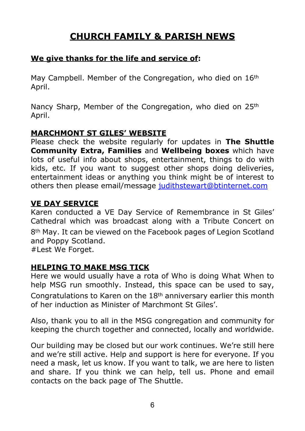# **CHURCH FAMILY & PARISH NEWS**

#### **We give thanks for the life and service of:**

May Campbell. Member of the Congregation, who died on 16<sup>th</sup> April.

Nancy Sharp, Member of the Congregation, who died on 25<sup>th</sup> April.

#### **MARCHMONT ST GILES' WEBSITE**

Please check the website regularly for updates in **The Shuttle Community Extra, Families** and **Wellbeing boxes** which have lots of useful info about shops, entertainment, things to do with kids, etc. If you want to suggest other shops doing deliveries, entertainment ideas or anything you think might be of interest to others then please email/message judithstewart@btinternet.com

#### **VE DAY SERVICE**

Karen conducted a VE Day Service of Remembrance in St Giles' Cathedral which was broadcast along with a Tribute Concert on 8th May. It can be viewed on the Facebook pages of Legion Scotland and Poppy Scotland.

#Lest We Forget.

#### **HELPING TO MAKE MSG TICK**

Here we would usually have a rota of Who is doing What When to help MSG run smoothly. Instead, this space can be used to say, Congratulations to Karen on the 18th anniversary earlier this month of her induction as Minister of Marchmont St Giles'.

Also, thank you to all in the MSG congregation and community for keeping the church together and connected, locally and worldwide.

Our building may be closed but our work continues. We're still here and we're still active. Help and support is here for everyone. If you need a mask, let us know. If you want to talk, we are here to listen and share. If you think we can help, tell us. Phone and email contacts on the back page of The Shuttle.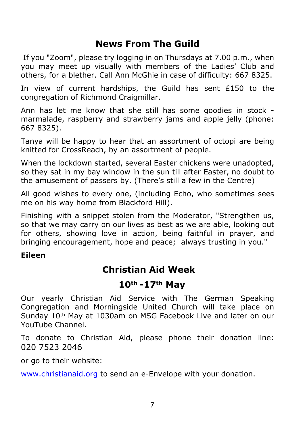## **News From The Guild**

 If you "Zoom", please try logging in on Thursdays at 7.00 p.m., when you may meet up visually with members of the Ladies' Club and others, for a blether. Call Ann McGhie in case of difficulty: 667 8325.

In view of current hardships, the Guild has sent  $£150$  to the congregation of Richmond Craigmillar.

Ann has let me know that she still has some goodies in stock marmalade, raspberry and strawberry jams and apple jelly (phone: 667 8325).

Tanya will be happy to hear that an assortment of octopi are being knitted for CrossReach, by an assortment of people.

When the lockdown started, several Easter chickens were unadopted, so they sat in my bay window in the sun till after Easter, no doubt to the amusement of passers by. (There's still a few in the Centre)

All good wishes to every one, (including Echo, who sometimes sees me on his way home from Blackford Hill).

Finishing with a snippet stolen from the Moderator, "Strengthen us, so that we may carry on our lives as best as we are able, looking out for others, showing love in action, being faithful in prayer, and bringing encouragement, hope and peace; always trusting in you."

#### **Eileen**

# **Christian Aid Week**

### **10th -17th May**

Our yearly Christian Aid Service with The German Speaking Congregation and Morningside United Church will take place on Sunday 10th May at 1030am on MSG Facebook Live and later on our YouTube Channel.

To donate to Christian Aid, please phone their donation line: 020 7523 2046

or go to their website:

<www.christianaid.org>to send an e-Envelope with your donation.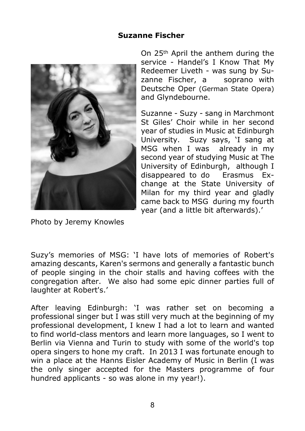#### **Suzanne Fischer**



On 25th April the anthem during the service - Handel's I Know That My Redeemer Liveth - was sung by Suzanne Fischer, a soprano with Deutsche Oper (German State Opera) and Glyndebourne.

Suzanne - Suzy - sang in Marchmont St Giles' Choir while in her second year of studies in Music at Edinburgh University. Suzy says, 'I sang at MSG when I was already in my second year of studying Music at The University of Edinburgh, although I disappeared to do Erasmus Exchange at the State University of Milan for my third year and gladly came back to MSG during my fourth year (and a little bit afterwards).'

Photo by Jeremy Knowles

Suzy's memories of MSG: 'I have lots of memories of Robert's amazing descants, Karen's sermons and generally a fantastic bunch of people singing in the choir stalls and having coffees with the congregation after. We also had some epic dinner parties full of laughter at Robert's.'

After leaving Edinburgh: 'I was rather set on becoming a professional singer but I was still very much at the beginning of my professional development, I knew I had a lot to learn and wanted to find world-class mentors and learn more languages, so I went to Berlin via Vienna and Turin to study with some of the world's top opera singers to hone my craft. In 2013 I was fortunate enough to win a place at the Hanns Eisler Academy of Music in Berlin (I was the only singer accepted for the Masters programme of four hundred applicants - so was alone in my year!).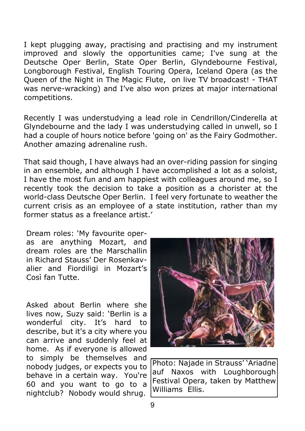I kept plugging away, practising and practising and my instrument improved and slowly the opportunities came; I've sung at the Deutsche Oper Berlin, State Oper Berlin, Glyndebourne Festival, Longborough Festival, English Touring Opera, Iceland Opera (as the Queen of the Night in The Magic Flute, on live TV broadcast! - THAT was nerve-wracking) and I've also won prizes at major international competitions.

Recently I was understudying a lead role in Cendrillon/Cinderella at Glyndebourne and the lady I was understudying called in unwell, so I had a couple of hours notice before 'going on' as the Fairy Godmother. Another amazing adrenaline rush.

That said though, I have always had an over-riding passion for singing in an ensemble, and although I have accomplished a lot as a soloist, I have the most fun and am happiest with colleagues around me, so I recently took the decision to take a position as a chorister at the world-class Deutsche Oper Berlin. I feel very fortunate to weather the current crisis as an employee of a state institution, rather than my former status as a freelance artist.'

Dream roles: 'My favourite operas are anything Mozart, and dream roles are the Marschallin in Richard Stauss' Der Rosenkavalier and Fiordiligi in Mozart's Così fan Tutte.

Asked about Berlin where she lives now, Suzy said: 'Berlin is a wonderful city. It's hard to describe, but it's a city where you can arrive and suddenly feel at home. As if everyone is allowed to simply be themselves and nobody judges, or expects you to behave in a certain way. You're 60 and you want to go to a nightclub? Nobody would shrug.



Photo: Najade in Strauss' 'Ariadne auf Naxos with Loughborough Festival Opera, taken by Matthew Williams Ellis.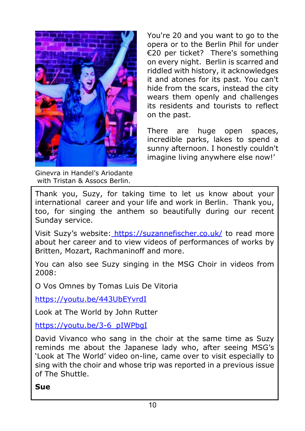

Ginevra in Handel's Ariodante with Tristan & Assocs Berlin.

You're 20 and you want to go to the opera or to the Berlin Phil for under €20 per ticket? There's something on every night. Berlin is scarred and riddled with history, it acknowledges it and atones for its past. You can't hide from the scars, instead the city wears them openly and challenges its residents and tourists to reflect on the past.

There are huge open spaces, incredible parks, lakes to spend a sunny afternoon. I honestly couldn't imagine living anywhere else now!'

Thank you, Suzy, for taking time to let us know about your international career and your life and work in Berlin. Thank you, too, for singing the anthem so beautifully during our recent Sunday service.

Visit Suzy's website[: https://suzannefischer.co.uk/](https://suzannefischer.co.uk/) to read more about her career and to view videos of performances of works by Britten, Mozart, Rachmaninoff and more.

You can also see Suzy singing in the MSG Choir in videos from 2008:

O Vos Omnes by Tomas Luis De Vitoria

<https://youtu.be/443UbEYvrdI>

Look at The World by John Rutter

[https://youtu.be/3-6\\_pIWPbgI](https://youtu.be/443UbEYvrdI)

David Vivanco who sang in the choir at the same time as Suzy reminds me about the Japanese lady who, after seeing MSG's 'Look at The World' video on-line, came over to visit especially to sing with the choir and whose trip was reported in a previous issue of The Shuttle.

#### **Sue**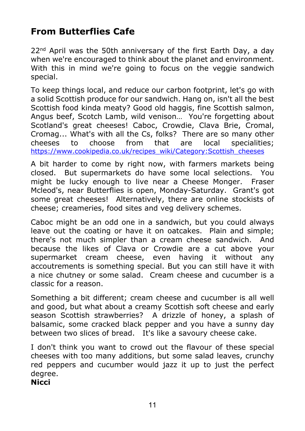# **From Butterflies Cafe**

22<sup>nd</sup> April was the 50th anniversary of the first Earth Day, a day when we're encouraged to think about the planet and environment. With this in mind we're going to focus on the veggie sandwich special.

To keep things local, and reduce our carbon footprint, let's go with a solid Scottish produce for our sandwich. Hang on, isn't all the best Scottish food kinda meaty? Good old haggis, fine Scottish salmon, Angus beef, Scotch Lamb, wild venison… You're forgetting about Scotland's great cheeses! Caboc, Crowdie, Clava Brie, Cromal, Cromag... What's with all the Cs, folks? There are so many other cheeses to choose from that are local specialities[;](https://www.cookipedia.co.uk/recipes_wiki/Category:Scottish) [https://www.cookipedia.co.uk/recipes\\_wiki/Category:Scottish\\_cheeses](https://www.cookipedia.co.uk/recipes_wiki/Category:Scottish_cheeses)

A bit harder to come by right now, with farmers markets being closed. But supermarkets do have some local selections. You might be lucky enough to live near a Cheese Monger. Fraser Mcleod's, near Butterflies is open, Monday-Saturday. Grant's got some great cheeses! Alternatively, there are online stockists of cheese; creameries, food sites and veg delivery schemes.

Caboc might be an odd one in a sandwich, but you could always leave out the coating or have it on oatcakes. Plain and simple; there's not much simpler than a cream cheese sandwich. And because the likes of Clava or Crowdie are a cut above your supermarket cream cheese, even having it without any accoutrements is something special. But you can still have it with a nice chutney or some salad. Cream cheese and cucumber is a classic for a reason.

Something a bit different; cream cheese and cucumber is all well and good, but what about a creamy Scottish soft cheese and early season Scottish strawberries? A drizzle of honey, a splash of balsamic, some cracked black pepper and you have a sunny day between two slices of bread. It's like a savoury cheese cake.

I don't think you want to crowd out the flavour of these special cheeses with too many additions, but some salad leaves, crunchy red peppers and cucumber would jazz it up to just the perfect degree.

**Nicci**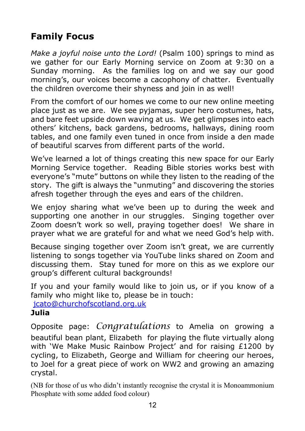# **Family Focus**

*Make a joyful noise unto the Lord!* (Psalm 100) springs to mind as we gather for our Early Morning service on Zoom at 9:30 on a Sunday morning. As the families log on and we say our good morning's, our voices become a cacophony of chatter. Eventually the children overcome their shyness and join in as well!

From the comfort of our homes we come to our new online meeting place just as we are. We see pyjamas, super hero costumes, hats, and bare feet upside down waving at us. We get glimpses into each others' kitchens, back gardens, bedrooms, hallways, dining room tables, and one family even tuned in once from inside a den made of beautiful scarves from different parts of the world.

We've learned a lot of things creating this new space for our Early Morning Service together. Reading Bible stories works best with everyone's "mute" buttons on while they listen to the reading of the story. The gift is always the "unmuting" and discovering the stories afresh together through the eyes and ears of the children.

We enjoy sharing what we've been up to during the week and supporting one another in our struggles. Singing together over Zoom doesn't work so well, praying together does! We share in prayer what we are grateful for and what we need God's help with.

Because singing together over Zoom isn't great, we are currently listening to songs together via YouTube links shared on Zoom and discussing them. Stay tuned for more on this as we explore our group's different cultural backgrounds!

If you and your family would like to join us, or if you know of a [f](mailto:jcato@churchofscotland.org.uk)amily who might like to, please be in touch:

[jcato@churchofscotland.org.uk](mailto:jcato@churchofscotland.org.uk)

#### **Julia**

Opposite page: *Congratulations* to Amelia on growing a beautiful bean plant, Elizabeth for playing the flute virtually along with 'We Make Music Rainbow Project' and for raising £1200 by cycling, to Elizabeth, George and William for cheering our heroes, to Joel for a great piece of work on WW2 and growing an amazing crystal.

(NB for those of us who didn't instantly recognise the crystal it is Monoammonium Phosphate with some added food colour)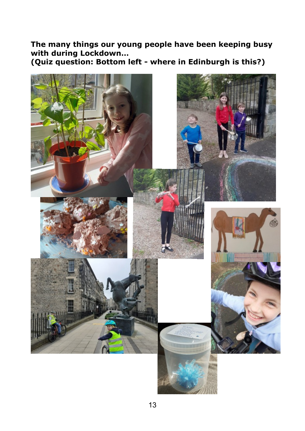**The many things our young people have been keeping busy with during Lockdown…**

**(Quiz question: Bottom left - where in Edinburgh is this?)**

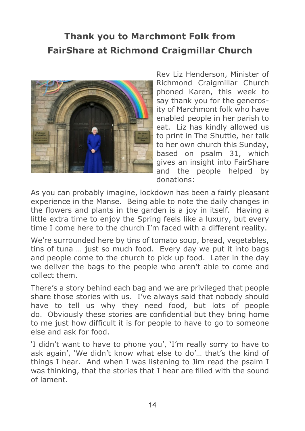# **Thank you to Marchmont Folk from FairShare at Richmond Craigmillar Church**



Rev Liz Henderson, Minister of Richmond Craigmillar Church phoned Karen, this week to say thank you for the generosity of Marchmont folk who have enabled people in her parish to eat. Liz has kindly allowed us to print in The Shuttle, her talk to her own church this Sunday, based on psalm 31, which gives an insight into FairShare and the people helped by donations:

As you can probably imagine, lockdown has been a fairly pleasant experience in the Manse. Being able to note the daily changes in the flowers and plants in the garden is a joy in itself. Having a little extra time to enjoy the Spring feels like a luxury, but every time I come here to the church I'm faced with a different reality.

We're surrounded here by tins of tomato soup, bread, yegetables, tins of tuna … just so much food. Every day we put it into bags and people come to the church to pick up food. Later in the day we deliver the bags to the people who aren't able to come and collect them.

There's a story behind each bag and we are privileged that people share those stories with us. I've always said that nobody should have to tell us why they need food, but lots of people do. Obviously these stories are confidential but they bring home to me just how difficult it is for people to have to go to someone else and ask for food.

'I didn't want to have to phone you', 'I'm really sorry to have to ask again', 'We didn't know what else to do'… that's the kind of things I hear. And when I was listening to Jim read the psalm I was thinking, that the stories that I hear are filled with the sound of lament.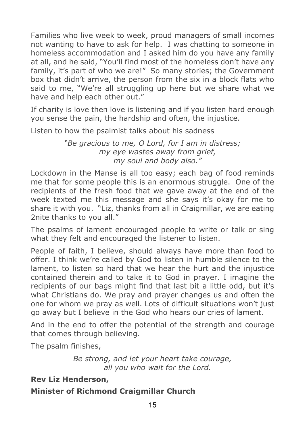Families who live week to week, proud managers of small incomes not wanting to have to ask for help. I was chatting to someone in homeless accommodation and I asked him do you have any family at all, and he said, "You'll find most of the homeless don't have any family, it's part of who we are!" So many stories; the Government box that didn't arrive, the person from the six in a block flats who said to me, "We're all struggling up here but we share what we have and help each other out."

If charity is love then love is listening and if you listen hard enough you sense the pain, the hardship and often, the injustice.

Listen to how the psalmist talks about his sadness

*"Be gracious to me, O Lord, for I am in distress; my eye wastes away from grief, my soul and body also."*

Lockdown in the Manse is all too easy; each bag of food reminds me that for some people this is an enormous struggle. One of the recipients of the fresh food that we gave away at the end of the week texted me this message and she says it's okay for me to share it with you. "Liz, thanks from all in Craigmillar, we are eating 2nite thanks to you all."

The psalms of lament encouraged people to write or talk or sing what they felt and encouraged the listener to listen.

People of faith, I believe, should always have more than food to offer. I think we're called by God to listen in humble silence to the lament, to listen so hard that we hear the hurt and the injustice contained therein and to take it to God in prayer. I imagine the recipients of our bags might find that last bit a little odd, but it's what Christians do. We pray and prayer changes us and often the one for whom we pray as well. Lots of difficult situations won't just go away but I believe in the God who hears our cries of lament.

And in the end to offer the potential of the strength and courage that comes through believing.

The psalm finishes,

*Be strong, and let your heart take courage, all you who wait for the Lord.*

#### **Rev Liz Henderson,**

#### **Minister of Richmond Craigmillar Church**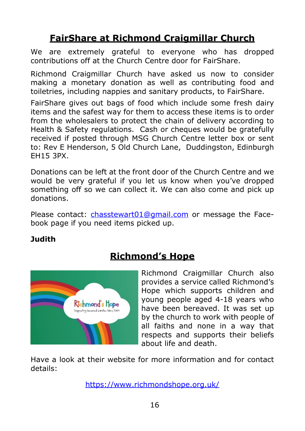# **FairShare at Richmond Craigmillar Church**

We are extremely grateful to everyone who has dropped contributions off at the Church Centre door for FairShare.

Richmond Craigmillar Church have asked us now to consider making a monetary donation as well as contributing food and toiletries, including nappies and sanitary products, to FairShare.

FairShare gives out bags of food which include some fresh dairy items and the safest way for them to access these items is to order from the wholesalers to protect the chain of delivery according to Health & Safety regulations. Cash or cheques would be gratefully received if posted through MSG Church Centre letter box or sent to: Rev E Henderson, 5 Old Church Lane, Duddingston, Edinburgh EH15 3PX.

Donations can be left at the front door of the Church Centre and we would be very grateful if you let us know when you've dropped something off so we can collect it. We can also come and pick up donations.

Please contact: chasstewart01@gmail.com or message the Facebook page if you need items picked up.

#### **Judith**



# **Richmond's Hope**

Richmond Craigmillar Church also provides a service called Richmond's Hope which supports children and young people aged 4-18 years who have been bereaved. It was set up by the church to work with people of all faiths and none in a way that respects and supports their beliefs about life and death.

Have a look at their website for more information and for contact details:

<https://www.richmondshope.org.uk/>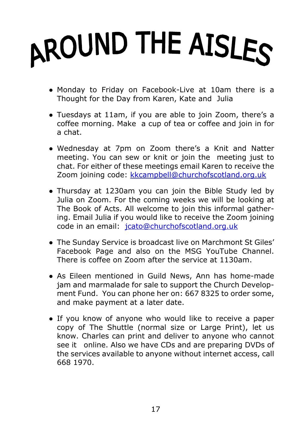# AROUND THE AISLES

- Monday to Friday on Facebook-Live at 10am there is a Thought for the Day from Karen, Kate and Julia
- Tuesdays at 11am, if you are able to join Zoom, there's a coffee morning. Make a cup of tea or coffee and join in for a chat.
- Wednesday at 7pm on Zoom there's a Knit and Natter meeting. You can sew or knit or join the meeting just to chat. For either of these meetings email Karen to receive the Zoom joining code: [kkcampbell@churchofscotland.org.uk](mailto:kkcampbell@churchofscotland.org.uk)
- Thursday at 1230am you can join the Bible Study led by Julia on Zoom. For the coming weeks we will be looking at The Book of Acts. All welcome to join this informal gathering. Email Julia if you would like to receive the Zoom joining code in an email: [jcato@churchofscotland.org.uk](mailto:jcato@churchofscotland.org.uk)
- The Sunday Service is broadcast live on Marchmont St Giles' Facebook Page and also on the MSG YouTube Channel. There is coffee on Zoom after the service at 1130am.
- As Eileen mentioned in Guild News, Ann has home-made jam and marmalade for sale to support the Church Development Fund. You can phone her on: 667 8325 to order some, and make payment at a later date.
- If you know of anyone who would like to receive a paper copy of The Shuttle (normal size or Large Print), let us know. Charles can print and deliver to anyone who cannot see it online. Also we have CDs and are preparing DVDs of the services available to anyone without internet access, call 668 1970.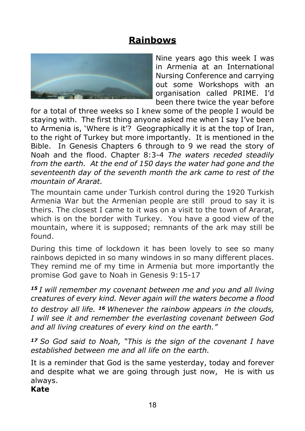# **Rainbows**



Nine years ago this week I was in Armenia at an International Nursing Conference and carrying out some Workshops with an organisation called PRIME. I'd been there twice the year before

for a total of three weeks so I knew some of the people I would be staying with. The first thing anyone asked me when I say I've been to Armenia is, 'Where is it'? Geographically it is at the top of Iran, to the right of Turkey but more importantly. It is mentioned in the Bible. In Genesis Chapters 6 through to 9 we read the story of Noah and the flood. Chapter 8:3-4 *The waters receded steadily from the earth. At the end of 150 days the water had gone and the seventeenth day of the seventh month the ark came to rest of the mountain of Ararat.*

The mountain came under Turkish control during the 1920 Turkish Armenia War but the Armenian people are still proud to say it is theirs. The closest I came to it was on a visit to the town of Ararat, which is on the border with Turkey. You have a good view of the mountain, where it is supposed; remnants of the ark may still be found.

During this time of lockdown it has been lovely to see so many rainbows depicted in so many windows in so many different places. They remind me of my time in Armenia but more importantly the promise God gave to Noah in Genesis 9:15-17

*<sup>15</sup>I will remember my covenant between me and you and all living creatures of every kind. Never again will the waters become a flood to destroy all life. <sup>16</sup>Whenever the rainbow appears in the clouds, I will see it and remember the everlasting covenant between God and all living creatures of every kind on the earth."*

*<sup>17</sup>So God said to Noah, "This is the sign of the covenant I have established between me and all life on the earth.*

It is a reminder that God is the same yesterday, today and forever and despite what we are going through just now, He is with us always.

#### **Kate**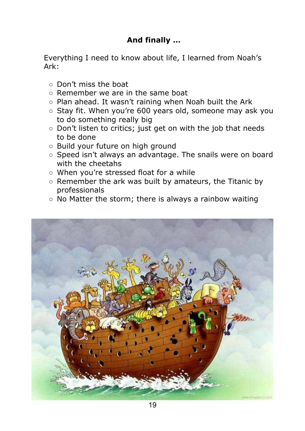#### **And finally …**

Everything I need to know about life, I learned from Noah's Ark:

- Don't miss the boat
- Remember we are in the same boat
- Plan ahead. It wasn't raining when Noah built the Ark
- Stay fit. When you're 600 years old, someone may ask you to do something really big
- Don't listen to critics; just get on with the job that needs to be done
- Build your future on high ground
- Speed isn't always an advantage. The snails were on board with the cheetahs
- When you're stressed float for a while
- Remember the ark was built by amateurs, the Titanic by professionals
- No Matter the storm; there is always a rainbow waiting